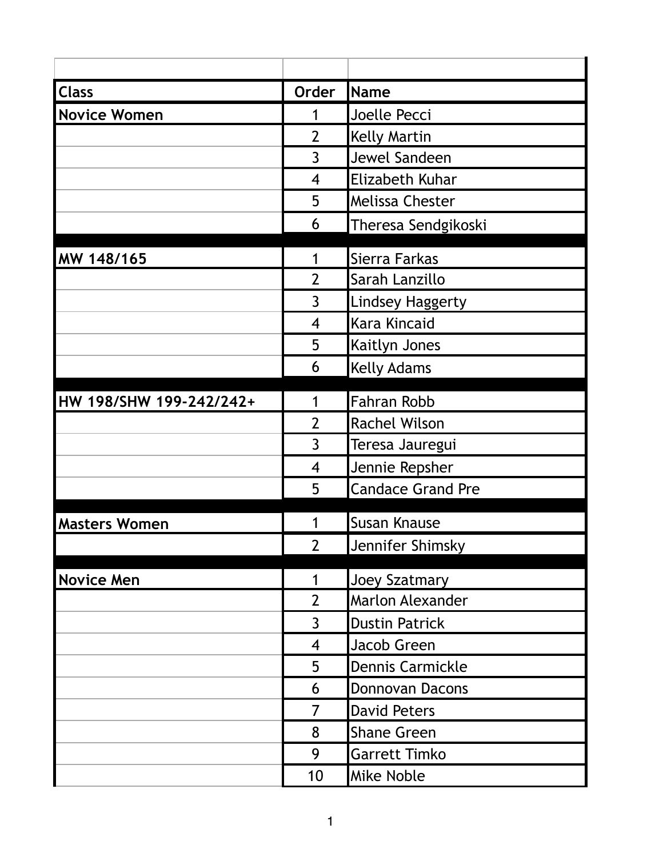| <b>Class</b>            | Order                    | Name                     |
|-------------------------|--------------------------|--------------------------|
| <b>Novice Women</b>     | 1                        | Joelle Pecci             |
|                         | $\overline{2}$           | <b>Kelly Martin</b>      |
|                         | $\overline{3}$           | Jewel Sandeen            |
|                         | $\overline{4}$           | Elizabeth Kuhar          |
|                         | 5                        | <b>Melissa Chester</b>   |
|                         | 6                        | Theresa Sendgikoski      |
| MW 148/165              | 1                        | Sierra Farkas            |
|                         | $\overline{2}$           | Sarah Lanzillo           |
|                         | 3                        | <b>Lindsey Haggerty</b>  |
|                         | $\overline{\mathcal{A}}$ | Kara Kincaid             |
|                         | 5                        | Kaitlyn Jones            |
|                         | 6                        | <b>Kelly Adams</b>       |
| HW 198/SHW 199-242/242+ | 1                        | <b>Fahran Robb</b>       |
|                         | $\overline{2}$           | <b>Rachel Wilson</b>     |
|                         | 3                        | Teresa Jauregui          |
|                         | $\overline{4}$           | Jennie Repsher           |
|                         | 5                        | <b>Candace Grand Pre</b> |
| <b>Masters Women</b>    |                          | <b>Susan Knause</b>      |
|                         | $\overline{2}$           | Jennifer Shimsky         |
| <b>Novice Men</b>       | 1                        | Joey Szatmary            |
|                         | $\overline{2}$           | <b>Marlon Alexander</b>  |
|                         | 3                        | <b>Dustin Patrick</b>    |
|                         | $\overline{4}$           | Jacob Green              |
|                         | 5                        | Dennis Carmickle         |
|                         | 6                        | Donnovan Dacons          |
|                         | 7                        | <b>David Peters</b>      |
|                         | 8                        | <b>Shane Green</b>       |
|                         | 9                        | <b>Garrett Timko</b>     |
|                         | 10                       | <b>Mike Noble</b>        |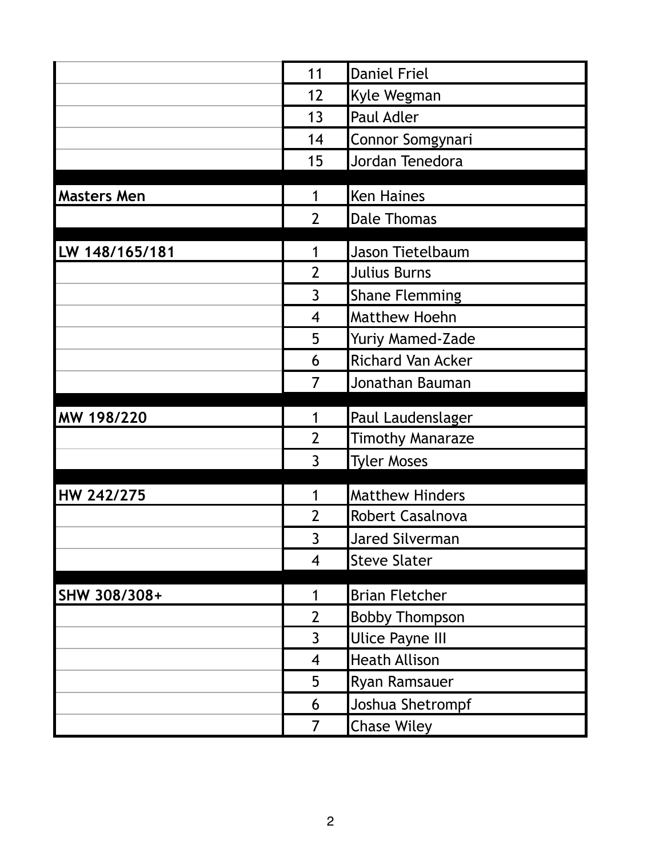|                    | 11                       | Daniel Friel                                   |
|--------------------|--------------------------|------------------------------------------------|
|                    | 12                       | Kyle Wegman                                    |
|                    | 13                       | <b>Paul Adler</b>                              |
|                    | 14                       | Connor Somgynari                               |
|                    | 15                       | Jordan Tenedora                                |
|                    |                          |                                                |
| <b>Masters Men</b> | 1                        | <b>Ken Haines</b>                              |
|                    | $\overline{2}$           | <b>Dale Thomas</b>                             |
| LW 148/165/181     | 1                        | Jason Tietelbaum                               |
|                    | $\overline{2}$           | <b>Julius Burns</b>                            |
|                    | 3                        | <b>Shane Flemming</b>                          |
|                    | $\overline{\mathcal{A}}$ | <b>Matthew Hoehn</b>                           |
|                    | 5                        | Yuriy Mamed-Zade                               |
|                    | 6                        | Richard Van Acker                              |
|                    | 7                        | Jonathan Bauman                                |
|                    |                          |                                                |
|                    |                          |                                                |
| MW 198/220         | 1                        | Paul Laudenslager                              |
|                    | $\overline{2}$           | <b>Timothy Manaraze</b>                        |
|                    | 3                        | <b>Tyler Moses</b>                             |
| HW 242/275         | 1                        | <b>Matthew Hinders</b>                         |
|                    | $\overline{2}$           | Robert Casalnova                               |
|                    | 3                        | <b>Jared Silverman</b>                         |
|                    | $\overline{4}$           | <b>Steve Slater</b>                            |
|                    | 1                        |                                                |
| SHW 308/308+       | $\overline{2}$           | <b>Brian Fletcher</b>                          |
|                    | 3                        | <b>Bobby Thompson</b>                          |
|                    | $\overline{4}$           | <b>Ulice Payne III</b><br><b>Heath Allison</b> |
|                    | 5                        | <b>Ryan Ramsauer</b>                           |
|                    | 6                        | Joshua Shetrompf                               |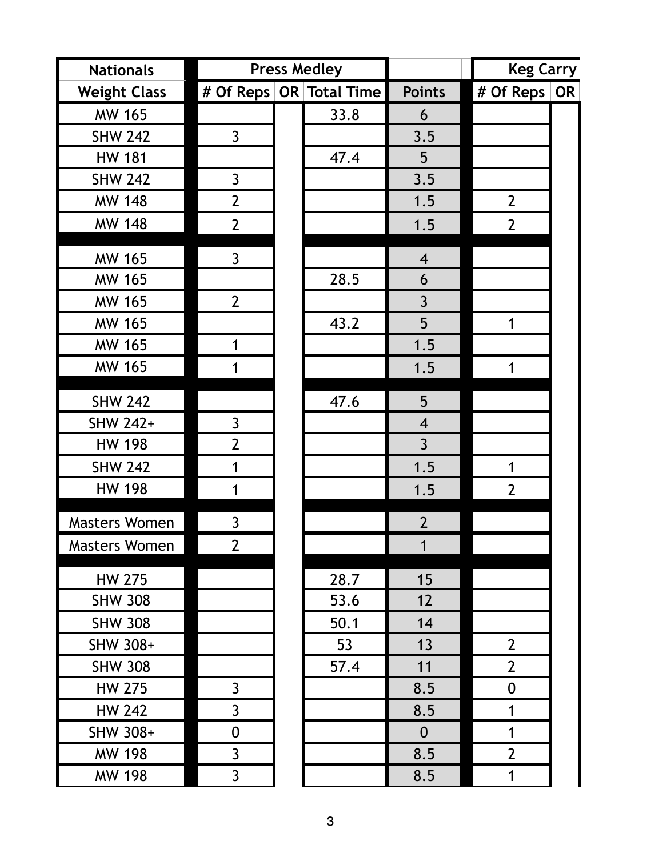| <b>Nationals</b>     |                  | <b>Press Medley</b>         |                | <b>Keg Carry</b>    |  |
|----------------------|------------------|-----------------------------|----------------|---------------------|--|
| <b>Weight Class</b>  |                  | # Of Reps $ OR Total Time $ | <b>Points</b>  | # Of Reps   OR      |  |
| <b>MW 165</b>        |                  | 33.8                        | 6              |                     |  |
| <b>SHW 242</b>       | $\mathsf{3}$     |                             | 3.5            |                     |  |
| <b>HW 181</b>        |                  | 47.4                        | 5              |                     |  |
| <b>SHW 242</b>       | $\mathsf{3}$     |                             | 3.5            |                     |  |
| <b>MW 148</b>        | $\overline{2}$   |                             | 1.5            | $\overline{2}$      |  |
| <b>MW 148</b>        | $2 \overline{ }$ |                             | 1.5            | $\overline{2}$      |  |
| <b>MW 165</b>        | $\mathsf{3}$     |                             | $\overline{4}$ |                     |  |
| <b>MW 165</b>        |                  | 28.5                        | 6              |                     |  |
| <b>MW 165</b>        | $2 \overline{ }$ |                             | $\overline{3}$ |                     |  |
| <b>MW 165</b>        |                  | 43.2                        | 5              | 1                   |  |
| <b>MW 165</b>        | 1                |                             | 1.5            |                     |  |
| <b>MW 165</b>        | 1                |                             | 1.5            | 1                   |  |
| <b>SHW 242</b>       |                  | 47.6                        | 5              |                     |  |
| SHW 242+             | $\mathsf{3}$     |                             | $\overline{4}$ |                     |  |
| <b>HW 198</b>        | $\overline{2}$   |                             | $\overline{3}$ |                     |  |
| <b>SHW 242</b>       | 1                |                             | 1.5            | 1                   |  |
| <b>HW 198</b>        | 1                |                             | 1.5            | $\overline{2}$      |  |
| <b>Masters Women</b> | $\overline{3}$   |                             | $\overline{2}$ |                     |  |
| <b>Masters Women</b> | 2 <sup>1</sup>   |                             | $\mathbf{1}$   |                     |  |
| <b>HW 275</b>        |                  | 28.7                        | 15             |                     |  |
| <b>SHW 308</b>       |                  | 53.6                        | 12             |                     |  |
| <b>SHW 308</b>       |                  | 50.1                        | 14             |                     |  |
| SHW 308+             |                  | 53                          | 13             | $2 \nightharpoonup$ |  |
| <b>SHW 308</b>       |                  | 57.4                        | 11             | $\overline{2}$      |  |
| <b>HW 275</b>        | $\overline{3}$   |                             | 8.5            | $\boldsymbol{0}$    |  |
| <b>HW 242</b>        | $\overline{3}$   |                             | 8.5            | 1                   |  |
| SHW 308+             | $\boldsymbol{0}$ |                             | $\mathbf{0}$   | 1                   |  |
| <b>MW 198</b>        | $\overline{3}$   |                             | 8.5            | $\overline{2}$      |  |
| <b>MW 198</b>        | $\overline{3}$   |                             | 8.5            | 1                   |  |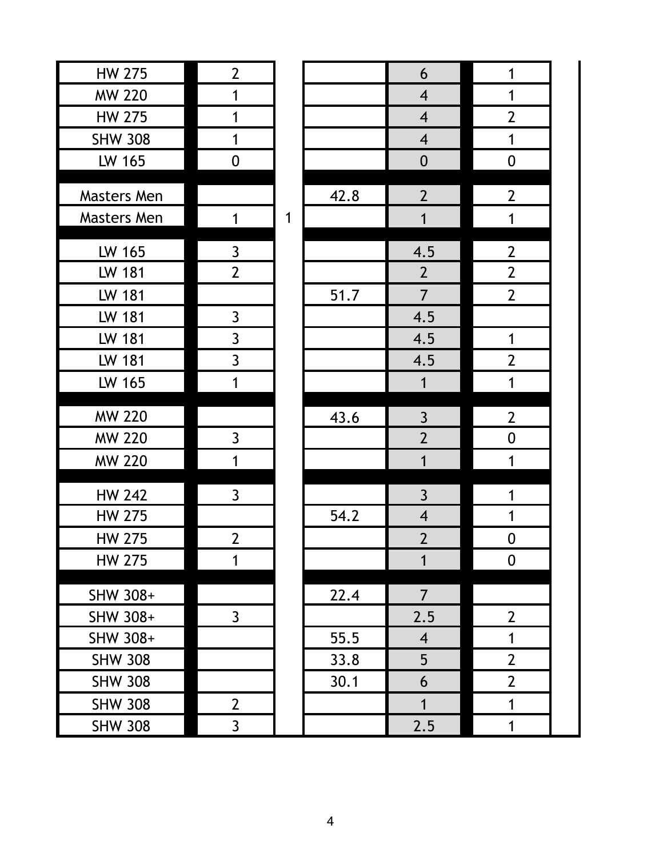| <b>HW 275</b>      | $\overline{2}$ |   |      |
|--------------------|----------------|---|------|
| <b>MW 220</b>      | 1              |   |      |
| <b>HW 275</b>      | 1              |   |      |
| <b>SHW 308</b>     | 1              |   |      |
| LW 165             | 0              |   |      |
| Masters Men        |                |   | 42.8 |
| <b>Masters Men</b> | 1              | 1 |      |
| LW 165             | $\overline{3}$ |   |      |
| LW 181             | $\overline{2}$ |   |      |
| LW 181             |                |   | 51.7 |
| <b>LW 181</b>      | $\mathsf{3}$   |   |      |
| LW 181             | $\mathsf{3}$   |   |      |
| LW 181             | $\overline{3}$ |   |      |
| LW 165             | 1              |   |      |
| <b>MW 220</b>      |                |   | 43.6 |
| <b>MW 220</b>      | 3              |   |      |
| <b>MW 220</b>      | 1              |   |      |
| <b>HW 242</b>      | 3              |   |      |
| HW 275             |                |   | 54.2 |
| <b>HW 275</b>      | $\overline{2}$ |   |      |
| <b>HW 275</b>      | 1              |   |      |
| SHW 308+           |                |   | 22.4 |
| SHW 308+           | $\mathsf{3}$   |   |      |
| SHW 308+           |                |   | 55.5 |
| <b>SHW 308</b>     |                |   | 33.8 |
| <b>SHW 308</b>     |                |   | 30.1 |
|                    |                |   |      |
| <b>SHW 308</b>     | $\mathbf{2}$   |   |      |

|                             |              |      | $\boldsymbol{6}$        | $\mathbf 1$      |
|-----------------------------|--------------|------|-------------------------|------------------|
| $\frac{2}{1}$               |              |      | $\overline{4}$          | $\mathbf 1$      |
|                             |              |      | $\overline{\mathbf{4}}$ | $\overline{2}$   |
| $\overline{1}$              |              |      | $\overline{\mathbf{4}}$ | $\mathbf 1$      |
| $\overline{0}$              |              |      | $\boldsymbol{0}$        | $\boldsymbol{0}$ |
|                             |              |      |                         |                  |
|                             |              | 42.8 | $\overline{2}$          | $\overline{2}$   |
| $\overline{1}$              | $\mathbf{1}$ |      | $\mathbf{1}$            | $\mathbf{1}$     |
|                             |              |      | 4.5                     | $\overline{2}$   |
| $\frac{3}{2}$               |              |      | $\overline{2}$          | $\overline{2}$   |
|                             |              | 51.7 | $\overline{7}$          | $\mathbf{2}$     |
|                             |              |      | 4.5                     |                  |
|                             |              |      | $\overline{4.5}$        | $\mathbf 1$      |
| $\frac{3}{3}$ $\frac{3}{1}$ |              |      | $\overline{4.5}$        | $\overline{2}$   |
|                             |              |      | $\overline{1}$          | $\mathbf{1}$     |
|                             |              |      |                         |                  |
|                             |              | 43.6 | $\frac{3}{2}$           | $\overline{2}$   |
| $\frac{1}{1}$               |              |      |                         | $\boldsymbol{0}$ |
|                             |              |      | $\mathbf{1}$            | $\mathbf{1}$     |
| $\overline{3}$              |              |      |                         | $\mathbf{1}$     |
|                             |              | 54.2 | $\frac{3}{4}$           | $\mathbf 1$      |
| $\overline{2}$              |              |      | $\overline{2}$          | $\boldsymbol{0}$ |
| $\overline{1}$              |              |      | $\overline{1}$          | $\boldsymbol{0}$ |
|                             |              |      |                         |                  |
|                             |              | 22.4 | $\overline{7}$          |                  |
| $\overline{3}$              |              |      | 2.5                     | $\overline{2}$   |
|                             |              | 55.5 | $\overline{4}$          | $\mathbf 1$      |
|                             |              | 33.8 | 5                       | $\overline{2}$   |
|                             |              | 30.1 | 6                       | $\overline{2}$   |
| $\overline{2}$              |              |      | $\overline{1}$          | 1                |
| $\overline{3}$              |              |      | 2.5                     | $\mathbf 1$      |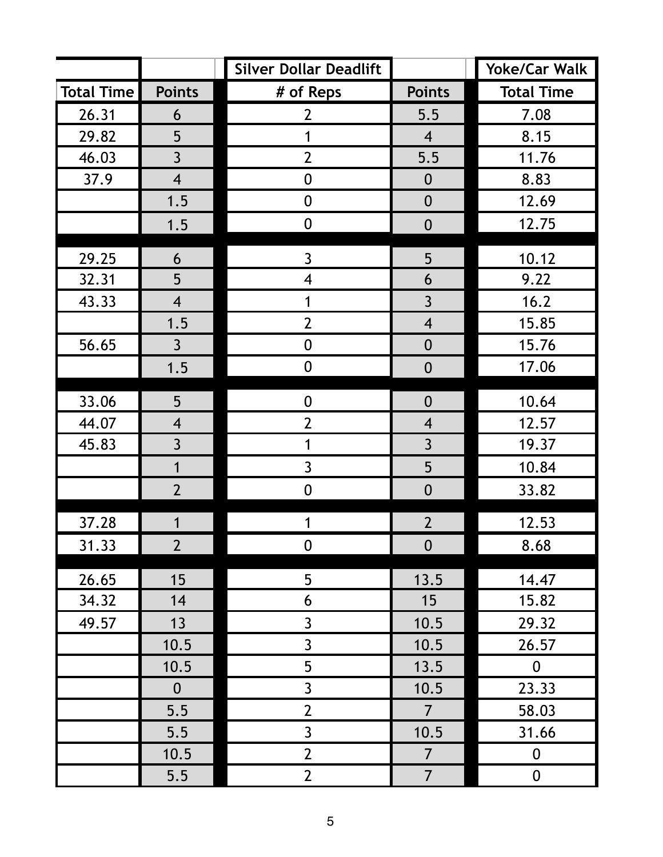|                   |                          | <b>Silver Dollar Deadlift</b> |                          | <b>Yoke/Car Walk</b> |
|-------------------|--------------------------|-------------------------------|--------------------------|----------------------|
| <b>Total Time</b> | <b>Points</b>            | # of Reps                     | <b>Points</b>            | <b>Total Time</b>    |
| 26.31             | 6                        | $\overline{2}$                | 5.5                      | 7.08                 |
| 29.82             | 5                        | 1                             | $\overline{4}$           | 8.15                 |
| 46.03             | $\overline{3}$           | $\overline{2}$                | 5.5                      | 11.76                |
| 37.9              | $\overline{4}$           | $\mathbf 0$                   | $\boldsymbol{0}$         | 8.83                 |
|                   | 1.5                      | $\mathbf 0$                   | $\mathbf 0$              | 12.69                |
|                   | 1.5                      | $\boldsymbol{0}$              | $\boldsymbol{0}$         | 12.75                |
| 29.25             | 6                        | $\mathbf{3}$                  | 5                        | 10.12                |
| 32.31             | 5                        | $\overline{\mathbf{4}}$       | 6                        | 9.22                 |
| 43.33             | $\overline{4}$           | 1                             | $\overline{3}$           | 16.2                 |
|                   | 1.5                      | $\overline{2}$                | $\overline{\mathbf{4}}$  | 15.85                |
| 56.65             | $\overline{3}$           | $\mathbf 0$                   | $\overline{0}$           | 15.76                |
|                   | 1.5                      | $\boldsymbol{0}$              | $\boldsymbol{0}$         | 17.06                |
| 33.06             | 5                        | $\overline{0}$                | $\mathbf 0$              | 10.64                |
| 44.07             | $\overline{\mathcal{A}}$ | $\overline{2}$                | $\overline{\mathcal{A}}$ | 12.57                |
| 45.83             | $\overline{3}$           | 1                             | $\overline{3}$           | 19.37                |
|                   | $\overline{1}$           | $\mathbf{3}$                  | 5                        | 10.84                |
|                   | $\overline{2}$           | $\boldsymbol{0}$              | $\boldsymbol{0}$         | 33.82                |
| 37.28             | 1                        |                               | $\overline{2}$           | 12.53                |
| 31.33             | $\overline{2}$           | $\mathbf 0$                   | $\boldsymbol{0}$         | 8.68                 |
| 26.65             | 15                       | 5                             | 13.5                     | 14.47                |
| 34.32             | 14                       | 6                             | 15                       | 15.82                |
| 49.57             | 13                       | $\overline{3}$                | 10.5                     | 29.32                |
|                   | 10.5                     | $\mathbf{3}$                  | 10.5                     | 26.57                |
|                   | 10.5                     | 5                             | 13.5                     | $\boldsymbol{0}$     |
|                   | $\mathbf{0}$             | $\overline{3}$                | 10.5                     | 23.33                |
|                   | 5.5                      | $\overline{2}$                | $\overline{7}$           | 58.03                |
|                   | 5.5                      | $\overline{3}$                | 10.5                     | 31.66                |
|                   | 10.5                     | $\overline{2}$                | $\overline{7}$           | $\boldsymbol{0}$     |
|                   | 5.5                      | $\overline{2}$                | $\overline{7}$           | $\boldsymbol{0}$     |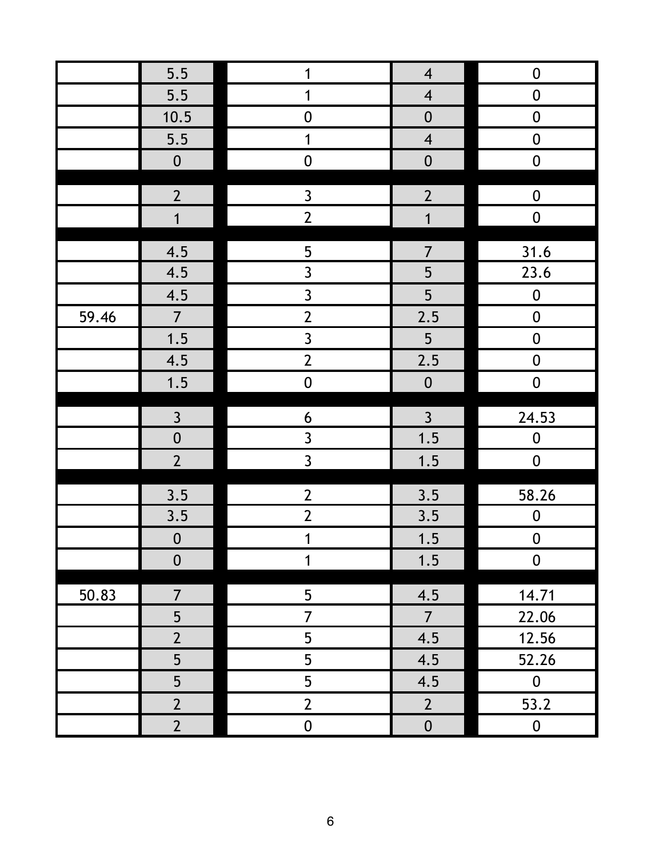| 5.5<br>$\mathbf{1}$<br>$\overline{\mathbf{4}}$<br>$\boldsymbol{0}$<br>5.5<br>$\overline{4}$<br>$\boldsymbol{0}$<br>1<br>10.5<br>$\boldsymbol{0}$<br>$\boldsymbol{0}$<br>$\boldsymbol{0}$<br>5.5<br>$\mathbf 1$<br>$\boldsymbol{0}$<br>$\overline{\mathbf{4}}$<br>${\bf 0}$<br>$\boldsymbol{0}$<br>$\boldsymbol{0}$<br>$\boldsymbol{0}$<br>$\mathbf{2}$<br>$\mathbf{3}$<br>$\overline{2}$<br>$\boldsymbol{0}$<br>$\overline{2}$<br>$\mathbf 0$<br>$\overline{1}$<br>$\mathbf 1$<br>$\overline{5}$<br>$\overline{7}$<br>31.6<br>4.5<br>$\overline{3}$<br>5<br>4.5<br>23.6<br>$\overline{3}$<br>5<br>4.5<br>$\boldsymbol{0}$<br>2.5<br>$\overline{2}$<br>$\overline{7}$<br>59.46<br>$\pmb{0}$<br>$\overline{3}$<br>1.5<br>5<br>$\boldsymbol{0}$<br>2.5<br>$\overline{2}$<br>4.5<br>$\mathbf 0$<br>1.5<br>$\boldsymbol{0}$<br>$\boldsymbol{0}$<br>$\boldsymbol{0}$<br>$\overline{3}$<br>$\overline{3}$<br>$\boldsymbol{6}$<br>24.53<br>$\overline{0}$<br>$\overline{3}$<br>1.5<br>$\boldsymbol{0}$<br>$\overline{2}$<br>$\overline{3}$<br>1.5<br>$\boldsymbol{0}$<br>$\overline{2}$<br>3.5<br>58.26<br>3.5<br>$\overline{2}$<br>3.5<br>3.5<br>$\boldsymbol{0}$<br>1.5<br>$\boldsymbol{0}$<br>$\boldsymbol{0}$<br>$\mathbf 1$<br>$\boldsymbol{0}$<br>1<br>1.5<br>$\boldsymbol{0}$<br>$\overline{7}$<br>50.83<br>5<br>4.5<br>14.71<br>5<br>$\overline{7}$<br>22.06<br>$\overline{7}$<br>$\overline{2}$<br>5<br>4.5<br>12.56<br>5<br>5<br>4.5<br>52.26<br>5<br>5<br>4.5<br>$\pmb{0}$<br>$\overline{2}$<br>$\overline{2}$<br>53.2<br>$2 \nightharpoonup$<br>$\overline{2}$<br>$\mathbf 0$<br>$\boldsymbol{0}$<br>$\pmb{0}$ |  |  |  |
|--------------------------------------------------------------------------------------------------------------------------------------------------------------------------------------------------------------------------------------------------------------------------------------------------------------------------------------------------------------------------------------------------------------------------------------------------------------------------------------------------------------------------------------------------------------------------------------------------------------------------------------------------------------------------------------------------------------------------------------------------------------------------------------------------------------------------------------------------------------------------------------------------------------------------------------------------------------------------------------------------------------------------------------------------------------------------------------------------------------------------------------------------------------------------------------------------------------------------------------------------------------------------------------------------------------------------------------------------------------------------------------------------------------------------------------------------------------------------------------------------------------------------------------------------------------------------------------------------------------------|--|--|--|
|                                                                                                                                                                                                                                                                                                                                                                                                                                                                                                                                                                                                                                                                                                                                                                                                                                                                                                                                                                                                                                                                                                                                                                                                                                                                                                                                                                                                                                                                                                                                                                                                                    |  |  |  |
|                                                                                                                                                                                                                                                                                                                                                                                                                                                                                                                                                                                                                                                                                                                                                                                                                                                                                                                                                                                                                                                                                                                                                                                                                                                                                                                                                                                                                                                                                                                                                                                                                    |  |  |  |
|                                                                                                                                                                                                                                                                                                                                                                                                                                                                                                                                                                                                                                                                                                                                                                                                                                                                                                                                                                                                                                                                                                                                                                                                                                                                                                                                                                                                                                                                                                                                                                                                                    |  |  |  |
|                                                                                                                                                                                                                                                                                                                                                                                                                                                                                                                                                                                                                                                                                                                                                                                                                                                                                                                                                                                                                                                                                                                                                                                                                                                                                                                                                                                                                                                                                                                                                                                                                    |  |  |  |
|                                                                                                                                                                                                                                                                                                                                                                                                                                                                                                                                                                                                                                                                                                                                                                                                                                                                                                                                                                                                                                                                                                                                                                                                                                                                                                                                                                                                                                                                                                                                                                                                                    |  |  |  |
|                                                                                                                                                                                                                                                                                                                                                                                                                                                                                                                                                                                                                                                                                                                                                                                                                                                                                                                                                                                                                                                                                                                                                                                                                                                                                                                                                                                                                                                                                                                                                                                                                    |  |  |  |
|                                                                                                                                                                                                                                                                                                                                                                                                                                                                                                                                                                                                                                                                                                                                                                                                                                                                                                                                                                                                                                                                                                                                                                                                                                                                                                                                                                                                                                                                                                                                                                                                                    |  |  |  |
|                                                                                                                                                                                                                                                                                                                                                                                                                                                                                                                                                                                                                                                                                                                                                                                                                                                                                                                                                                                                                                                                                                                                                                                                                                                                                                                                                                                                                                                                                                                                                                                                                    |  |  |  |
|                                                                                                                                                                                                                                                                                                                                                                                                                                                                                                                                                                                                                                                                                                                                                                                                                                                                                                                                                                                                                                                                                                                                                                                                                                                                                                                                                                                                                                                                                                                                                                                                                    |  |  |  |
|                                                                                                                                                                                                                                                                                                                                                                                                                                                                                                                                                                                                                                                                                                                                                                                                                                                                                                                                                                                                                                                                                                                                                                                                                                                                                                                                                                                                                                                                                                                                                                                                                    |  |  |  |
|                                                                                                                                                                                                                                                                                                                                                                                                                                                                                                                                                                                                                                                                                                                                                                                                                                                                                                                                                                                                                                                                                                                                                                                                                                                                                                                                                                                                                                                                                                                                                                                                                    |  |  |  |
|                                                                                                                                                                                                                                                                                                                                                                                                                                                                                                                                                                                                                                                                                                                                                                                                                                                                                                                                                                                                                                                                                                                                                                                                                                                                                                                                                                                                                                                                                                                                                                                                                    |  |  |  |
|                                                                                                                                                                                                                                                                                                                                                                                                                                                                                                                                                                                                                                                                                                                                                                                                                                                                                                                                                                                                                                                                                                                                                                                                                                                                                                                                                                                                                                                                                                                                                                                                                    |  |  |  |
|                                                                                                                                                                                                                                                                                                                                                                                                                                                                                                                                                                                                                                                                                                                                                                                                                                                                                                                                                                                                                                                                                                                                                                                                                                                                                                                                                                                                                                                                                                                                                                                                                    |  |  |  |
|                                                                                                                                                                                                                                                                                                                                                                                                                                                                                                                                                                                                                                                                                                                                                                                                                                                                                                                                                                                                                                                                                                                                                                                                                                                                                                                                                                                                                                                                                                                                                                                                                    |  |  |  |
|                                                                                                                                                                                                                                                                                                                                                                                                                                                                                                                                                                                                                                                                                                                                                                                                                                                                                                                                                                                                                                                                                                                                                                                                                                                                                                                                                                                                                                                                                                                                                                                                                    |  |  |  |
|                                                                                                                                                                                                                                                                                                                                                                                                                                                                                                                                                                                                                                                                                                                                                                                                                                                                                                                                                                                                                                                                                                                                                                                                                                                                                                                                                                                                                                                                                                                                                                                                                    |  |  |  |
|                                                                                                                                                                                                                                                                                                                                                                                                                                                                                                                                                                                                                                                                                                                                                                                                                                                                                                                                                                                                                                                                                                                                                                                                                                                                                                                                                                                                                                                                                                                                                                                                                    |  |  |  |
|                                                                                                                                                                                                                                                                                                                                                                                                                                                                                                                                                                                                                                                                                                                                                                                                                                                                                                                                                                                                                                                                                                                                                                                                                                                                                                                                                                                                                                                                                                                                                                                                                    |  |  |  |
|                                                                                                                                                                                                                                                                                                                                                                                                                                                                                                                                                                                                                                                                                                                                                                                                                                                                                                                                                                                                                                                                                                                                                                                                                                                                                                                                                                                                                                                                                                                                                                                                                    |  |  |  |
|                                                                                                                                                                                                                                                                                                                                                                                                                                                                                                                                                                                                                                                                                                                                                                                                                                                                                                                                                                                                                                                                                                                                                                                                                                                                                                                                                                                                                                                                                                                                                                                                                    |  |  |  |
|                                                                                                                                                                                                                                                                                                                                                                                                                                                                                                                                                                                                                                                                                                                                                                                                                                                                                                                                                                                                                                                                                                                                                                                                                                                                                                                                                                                                                                                                                                                                                                                                                    |  |  |  |
|                                                                                                                                                                                                                                                                                                                                                                                                                                                                                                                                                                                                                                                                                                                                                                                                                                                                                                                                                                                                                                                                                                                                                                                                                                                                                                                                                                                                                                                                                                                                                                                                                    |  |  |  |
|                                                                                                                                                                                                                                                                                                                                                                                                                                                                                                                                                                                                                                                                                                                                                                                                                                                                                                                                                                                                                                                                                                                                                                                                                                                                                                                                                                                                                                                                                                                                                                                                                    |  |  |  |
|                                                                                                                                                                                                                                                                                                                                                                                                                                                                                                                                                                                                                                                                                                                                                                                                                                                                                                                                                                                                                                                                                                                                                                                                                                                                                                                                                                                                                                                                                                                                                                                                                    |  |  |  |
|                                                                                                                                                                                                                                                                                                                                                                                                                                                                                                                                                                                                                                                                                                                                                                                                                                                                                                                                                                                                                                                                                                                                                                                                                                                                                                                                                                                                                                                                                                                                                                                                                    |  |  |  |
|                                                                                                                                                                                                                                                                                                                                                                                                                                                                                                                                                                                                                                                                                                                                                                                                                                                                                                                                                                                                                                                                                                                                                                                                                                                                                                                                                                                                                                                                                                                                                                                                                    |  |  |  |
|                                                                                                                                                                                                                                                                                                                                                                                                                                                                                                                                                                                                                                                                                                                                                                                                                                                                                                                                                                                                                                                                                                                                                                                                                                                                                                                                                                                                                                                                                                                                                                                                                    |  |  |  |
|                                                                                                                                                                                                                                                                                                                                                                                                                                                                                                                                                                                                                                                                                                                                                                                                                                                                                                                                                                                                                                                                                                                                                                                                                                                                                                                                                                                                                                                                                                                                                                                                                    |  |  |  |
|                                                                                                                                                                                                                                                                                                                                                                                                                                                                                                                                                                                                                                                                                                                                                                                                                                                                                                                                                                                                                                                                                                                                                                                                                                                                                                                                                                                                                                                                                                                                                                                                                    |  |  |  |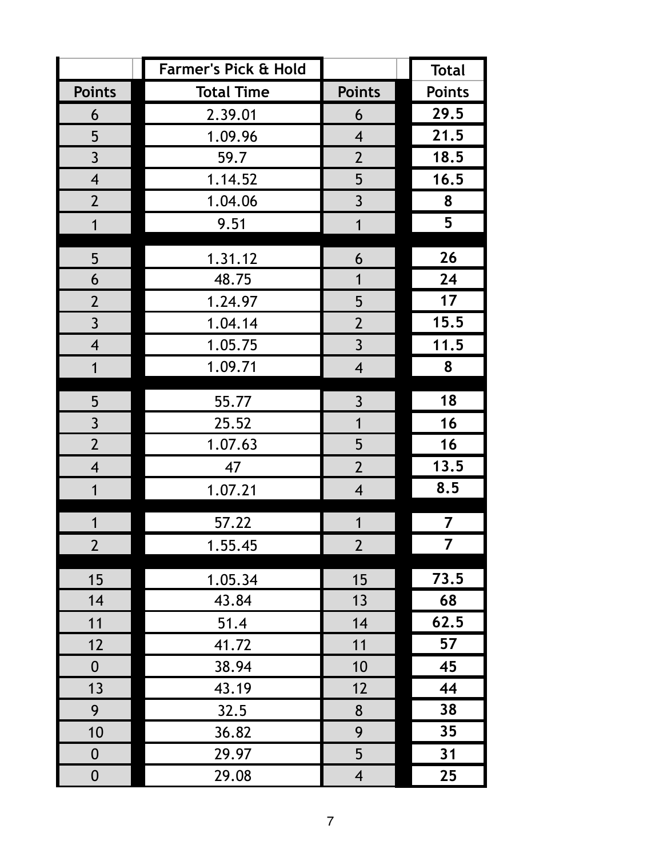|                          | <b>Farmer's Pick &amp; Hold</b> |                         | <b>Total</b>  |
|--------------------------|---------------------------------|-------------------------|---------------|
| <b>Points</b>            | <b>Total Time</b>               | <b>Points</b>           | <b>Points</b> |
| 6                        | 2.39.01                         | 6                       | 29.5          |
| 5                        | 1.09.96                         | $\overline{4}$          | 21.5          |
| $\overline{3}$           | 59.7                            | $\overline{2}$          | 18.5          |
| $\overline{4}$           | 1.14.52                         | 5                       | 16.5          |
| $\overline{2}$           | 1.04.06                         | $\overline{3}$          | 8             |
| $\overline{1}$           | 9.51                            | $\overline{1}$          | 5             |
| 5                        | 1.31.12                         | 6                       | 26            |
| 6                        | 48.75                           | $\mathbf 1$             | 24            |
| $\overline{2}$           | 1.24.97                         | 5                       | 17            |
| $\overline{3}$           | 1.04.14                         | $\overline{2}$          | 15.5          |
| $\overline{4}$           | 1.05.75                         | $\overline{3}$          | 11.5          |
| $\mathbf{1}$             | 1.09.71                         | $\overline{\mathbf{4}}$ | 8             |
| 5                        | 55.77                           | $\overline{3}$          | 18            |
| $\overline{3}$           | 25.52                           | $\overline{1}$          | 16            |
| $\overline{2}$           | 1.07.63                         | 5                       | 16            |
| $\overline{\mathcal{A}}$ | 47                              | $\overline{2}$          | 13.5          |
| 1                        | 1.07.21                         | $\overline{\mathbf{4}}$ | 8.5           |
|                          | 57.22                           | 1                       | 7             |
| $\overline{2}$           | 1.55.45                         | $\overline{2}$          | 7             |
| 15                       | 1.05.34                         | 15                      | 73.5          |
| 14                       | 43.84                           | 13                      | 68            |
| 11                       | 51.4                            | 14                      | 62.5          |
| 12                       | 41.72                           | 11                      | 57            |
| $\boldsymbol{0}$         | 38.94                           | 10                      | 45            |
| 13                       | 43.19                           | 12                      | 44            |
| 9                        | 32.5                            | 8                       | 38            |
| 10                       | 36.82                           | 9                       | 35            |
| $\boldsymbol{0}$         | 29.97                           | 5                       | 31            |
| $\boldsymbol{0}$         | 29.08                           | $\overline{4}$          | 25            |